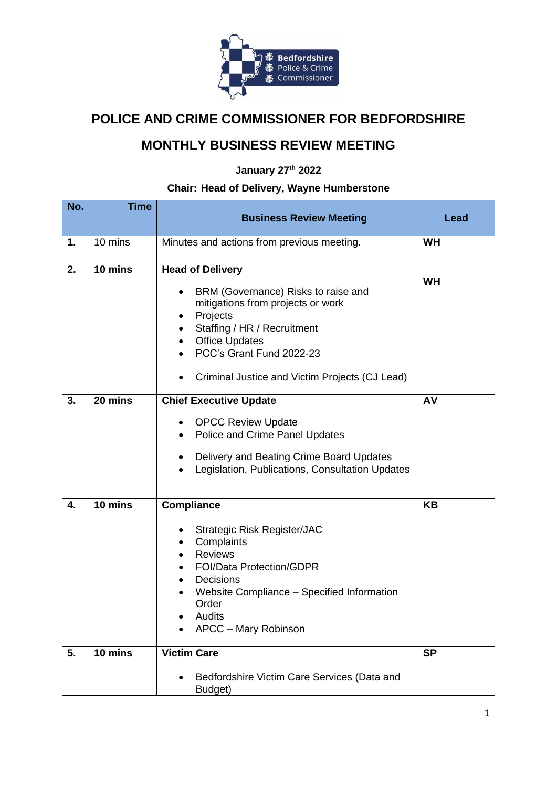

## **POLICE AND CRIME COMMISSIONER FOR BEDFORDSHIRE**

## **MONTHLY BUSINESS REVIEW MEETING**

**January 27th 2022**

## **Chair: Head of Delivery, Wayne Humberstone**

| No. | <b>Time</b> | <b>Business Review Meeting</b>                                                                                                                                                                                                                                          | Lead      |
|-----|-------------|-------------------------------------------------------------------------------------------------------------------------------------------------------------------------------------------------------------------------------------------------------------------------|-----------|
| 1.  | 10 mins     | Minutes and actions from previous meeting.                                                                                                                                                                                                                              | <b>WH</b> |
| 2.  | 10 mins     | <b>Head of Delivery</b><br>BRM (Governance) Risks to raise and<br>$\bullet$<br>mitigations from projects or work<br>Projects<br>٠<br>Staffing / HR / Recruitment<br><b>Office Updates</b><br>PCC's Grant Fund 2022-23<br>Criminal Justice and Victim Projects (CJ Lead) | <b>WH</b> |
| 3.  | 20 mins     | <b>Chief Executive Update</b><br><b>OPCC Review Update</b><br>$\bullet$<br>Police and Crime Panel Updates<br>$\bullet$<br>Delivery and Beating Crime Board Updates<br>٠<br>Legislation, Publications, Consultation Updates<br>$\bullet$                                 | AV        |
| 4.  | 10 mins     | <b>Compliance</b><br><b>Strategic Risk Register/JAC</b><br>٠<br>Complaints<br>$\bullet$<br><b>Reviews</b><br><b>FOI/Data Protection/GDPR</b><br>Decisions<br>Website Compliance - Specified Information<br>Order<br>Audits<br>APCC - Mary Robinson                      | <b>KB</b> |
| 5.  | 10 mins     | <b>Victim Care</b><br>Bedfordshire Victim Care Services (Data and<br>Budget)                                                                                                                                                                                            | <b>SP</b> |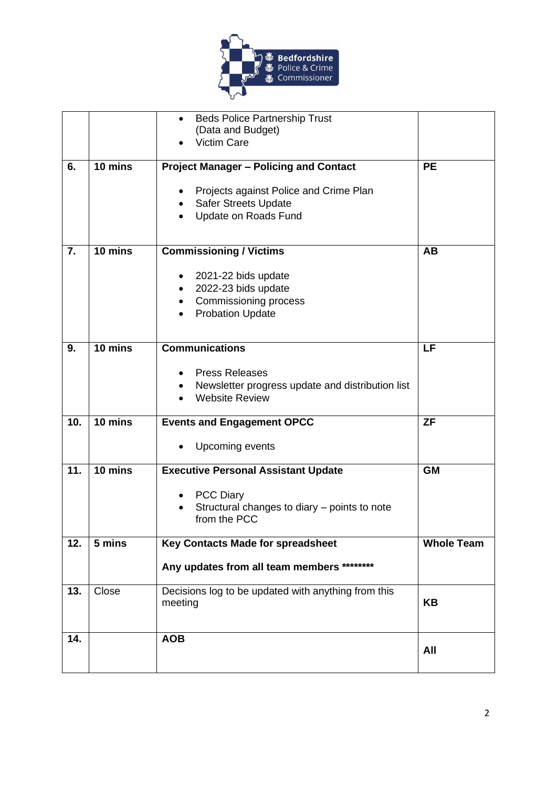

|     |                   | <b>Beds Police Partnership Trust</b><br>$\bullet$<br>(Data and Budget)<br><b>Victim Care</b>                                                                     |                   |
|-----|-------------------|------------------------------------------------------------------------------------------------------------------------------------------------------------------|-------------------|
| 6.  | 10 mins           | <b>Project Manager - Policing and Contact</b><br>Projects against Police and Crime Plan<br>٠<br><b>Safer Streets Update</b><br>$\bullet$<br>Update on Roads Fund | <b>PE</b>         |
| 7.  | 10 mins           | <b>Commissioning / Victims</b><br>2021-22 bids update<br>2022-23 bids update<br>Commissioning process<br><b>Probation Update</b>                                 | <b>AB</b>         |
| 9.  | $10 \text{ mins}$ | <b>Communications</b><br><b>Press Releases</b><br>Newsletter progress update and distribution list<br><b>Website Review</b>                                      | LF                |
| 10. | 10 mins           | <b>Events and Engagement OPCC</b><br>Upcoming events<br>٠                                                                                                        | <b>ZF</b>         |
| 11. | 10 mins           | <b>Executive Personal Assistant Update</b><br><b>PCC Diary</b><br>$\bullet$<br>Structural changes to diary - points to note<br>from the PCC                      | <b>GM</b>         |
| 12. | 5 mins            | Key Contacts Made for spreadsheet<br>Any updates from all team members ********                                                                                  | <b>Whole Team</b> |
| 13. | Close             | Decisions log to be updated with anything from this<br>meeting                                                                                                   | <b>KB</b>         |
| 14. |                   | <b>AOB</b>                                                                                                                                                       | All               |